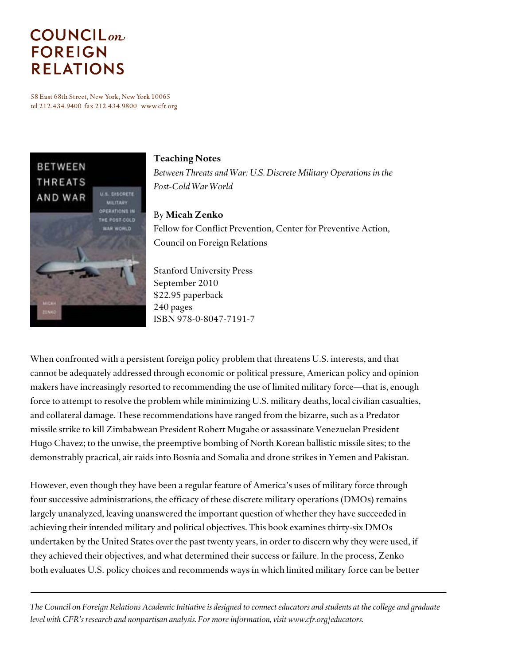# **COUNCIL**<sub>on</sub> **FOREIGN RELATIONS**

58 East 68th Street, New York, New York 10065 tel 212.434.9400 fax 212.434.9800 www.cfr.org



#### **Teaching Notes**

*Between Threats and War: U.S. Discrete Military Operations in the Post-Cold War World* 

#### By **Micah Zenko**

Fellow for Conflict Prevention, Center for Preventive Action, Council on Foreign Relations

Stanford University Press September 2010 \$22.95 paperback 240 pages ISBN 978-0-8047-7191-7

When confronted with a persistent foreign policy problem that threatens U.S. interests, and that cannot be adequately addressed through economic or political pressure, American policy and opinion makers have increasingly resorted to recommending the use of limited military force—that is, enough force to attempt to resolve the problem while minimizing U.S. military deaths, local civilian casualties, and collateral damage. These recommendations have ranged from the bizarre, such as a Predator missile strike to kill Zimbabwean President Robert Mugabe or assassinate Venezuelan President Hugo Chavez; to the unwise, the preemptive bombing of North Korean ballistic missile sites; to the demonstrably practical, air raids into Bosnia and Somalia and drone strikes in Yemen and Pakistan.

However, even though they have been a regular feature of America's uses of military force through four successive administrations, the efficacy of these discrete military operations (DMOs) remains largely unanalyzed, leaving unanswered the important question of whether they have succeeded in achieving their intended military and political objectives. This book examines thirty-six DMOs undertaken by the United States over the past twenty years, in order to discern why they were used, if they achieved their objectives, and what determined their success or failure. In the process, Zenko both evaluates U.S. policy choices and recommends ways in which limited military force can be better

*The Council on Foreign Relations Academic Initiative is designed to connect educators and students at the college and graduate level with CFR's research and nonpartisan analysis. For more information, visit www.cfr.org/educators.*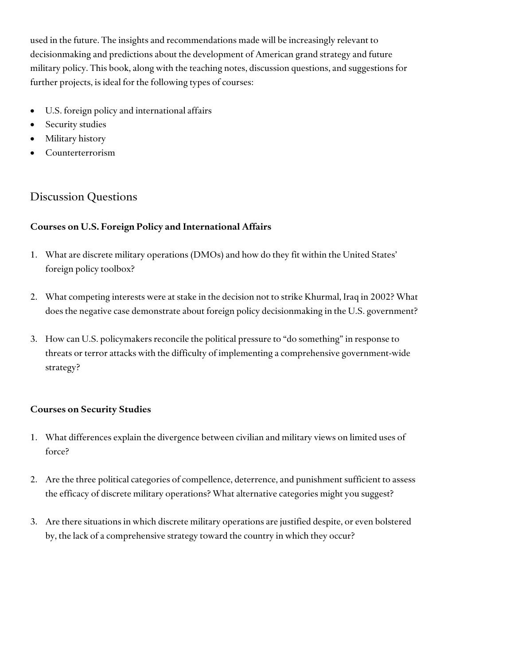used in the future. The insights and recommendations made will be increasingly relevant to decisionmaking and predictions about the development of American grand strategy and future military policy. This book, along with the teaching notes, discussion questions, and suggestions for further projects, is ideal for the following types of courses:

- U.S. foreign policy and international affairs
- Security studies
- Military history
- Counterterrorism

# Discussion Questions

## **Courses on U.S. Foreign Policy and International Affairs**

- 1. What are discrete military operations (DMOs) and how do they fit within the United States' foreign policy toolbox?
- 2. What competing interests were at stake in the decision not to strike Khurmal, Iraq in 2002? What does the negative case demonstrate about foreign policy decisionmaking in the U.S. government?
- 3. How can U.S. policymakers reconcile the political pressure to "do something" in response to threats or terror attacks with the difficulty of implementing a comprehensive government-wide strategy?

#### **Courses on Security Studies**

- 1. What differences explain the divergence between civilian and military views on limited uses of force?
- 2. Are the three political categories of compellence, deterrence, and punishment sufficient to assess the efficacy of discrete military operations? What alternative categories might you suggest?
- 3. Are there situations in which discrete military operations are justified despite, or even bolstered by, the lack of a comprehensive strategy toward the country in which they occur?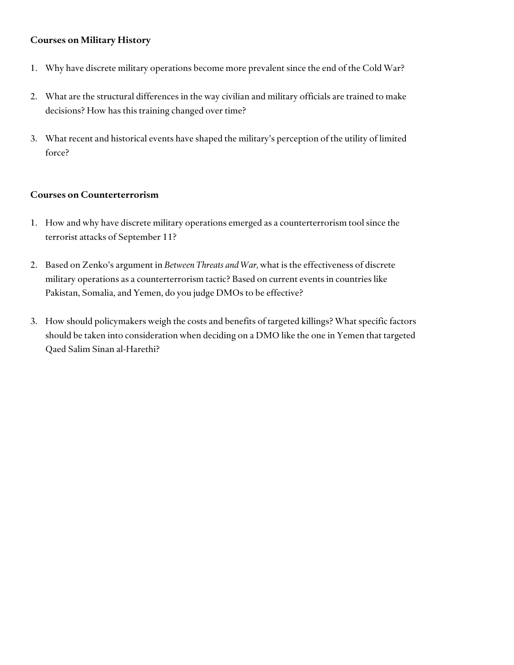#### **Courses on Military History**

- 1. Why have discrete military operations become more prevalent since the end of the Cold War?
- 2. What are the structural differences in the way civilian and military officials are trained to make decisions? How has this training changed over time?
- 3. What recent and historical events have shaped the military's perception of the utility of limited force?

#### **Courses on Counterterrorism**

- 1. How and why have discrete military operations emerged as a counterterrorism tool since the terrorist attacks of September 11?
- 2. Based on Zenko's argument in *Between Threats and War,* what is the effectiveness of discrete military operations as a counterterrorism tactic? Based on current events in countries like Pakistan, Somalia, and Yemen, do you judge DMOs to be effective?
- 3. How should policymakers weigh the costs and benefits of targeted killings? What specific factors should be taken into consideration when deciding on a DMO like the one in Yemen that targeted Qaed Salim Sinan al-Harethi?